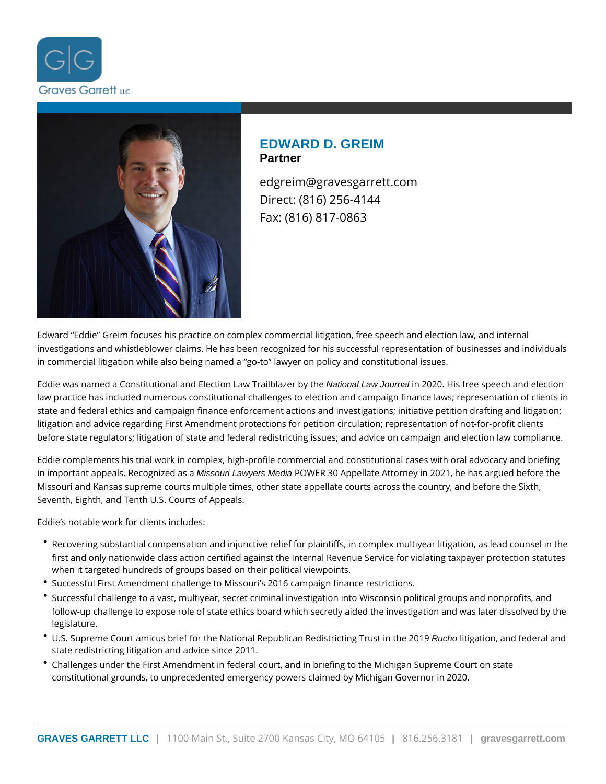



# **EDWARD D. GREIM Partner**

edgreim@gravesgarrett.com Direct: (816) 256-4144 Fax: (816) 817-0863

Edward "Eddie" Greim focuses his practice on complex commercial litigation, free speech and election law, and internal investigations and whistleblower claims. He has been recognized for his successful representation of businesses and individuals in commercial litigation while also being named a "go-to" lawyer on policy and constitutional issues.

Eddie was named a Constitutional and Election Law Trailblazer by the National Law Journal in 2020. His free speech and election law practice has included numerous constitutional challenges to election and campaign finance laws; representation of clients in state and federal ethics and campaign finance enforcement actions and investigations; initiative petition drafting and litigation; litigation and advice regarding First Amendment protections for petition circulation; representation of not-for-profit clients before state regulators; litigation of state and federal redistricting issues; and advice on campaign and election law compliance.

Eddie complements his trial work in complex, high-profile commercial and constitutional cases with oral advocacy and briefing in important appeals. Recognized as a Missouri Lawyers Media POWER 30 Appellate Attorney in 2021, he has argued before the Missouri and Kansas supreme courts multiple times, other state appellate courts across the country, and before the Sixth, Seventh, Eighth, and Tenth U.S. Courts of Appeals.

Eddie's notable work for clients includes:

- Recovering substantial compensation and injunctive relief for plaintiffs, in complex multiyear litigation, as lead counsel in the first and only nationwide class action certified against the Internal Revenue Service for violating taxpayer protection statutes when it targeted hundreds of groups based on their political viewpoints.
- Successful First Amendment challenge to Missouri's 2016 campaign finance restrictions.
- Successful challenge to a vast, multiyear, secret criminal investigation into Wisconsin political groups and nonprofits, and follow-up challenge to expose role of state ethics board which secretly aided the investigation and was later dissolved by the legislature.
- U.S. Supreme Court amicus brief for the National Republican Redistricting Trust in the 2019 Rucho litigation, and federal and state redistricting litigation and advice since 2011.
- Challenges under the First Amendment in federal court, and in briefing to the Michigan Supreme Court on state constitutional grounds, to unprecedented emergency powers claimed by Michigan Governor in 2020.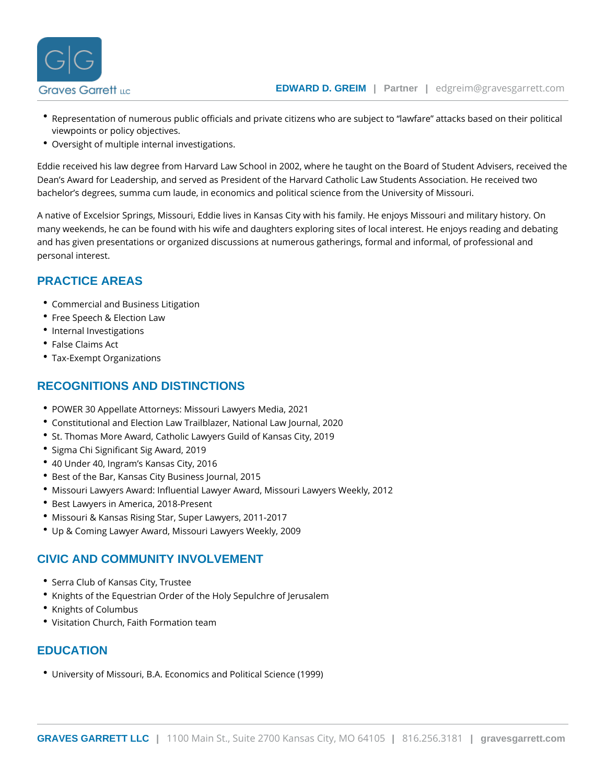- \* Representation of numerous public officials and private citizens who are subject to la viewpoints or policy objectives.
- Oversight of multiple internal investigations.

Eddie received his law degree from Harvard Law School in 2002, where he taught on the Dean s Award for Leadership, and served as President of the Harvard Catholic Law Stude bachelor s degrees, summa cum laude, in economics and political science from the Unive

A native of Excelsior Springs, Missouri, Eddie lives in Kansas City with his family. He en many weekends, he can be found with his wife and daughters exploring sites of local inte and has given presentations or organized discussions at numerous gatherings, formal and personal interest.

### PRACTICE AREAS

- [Commercial and Busines](https://www.gravesgarrett.com/practice-areas/business-law-disputes/)s Litigation
- [Free Speech & Ele](https://www.gravesgarrett.com/practice-areas/free-speech-law/)ction Law
- [Internal Invest](https://www.gravesgarrett.com/practice-areas/internal-investigations/)igations
- [False Claim](https://www.gravesgarrett.com/practice-areas/qui-tam-and-false-claims/)s Act
- [Tax-Exempt Orga](https://www.gravesgarrett.com/practice-areas/tax-exempt-organizations/)nizations

### RECOGNITIONS AND DISTINCTIONS

- POWER 30 Appellate Attorneys: Missouri Lawyers Media, 2021
- Constitutional and Election Law Trailblazer, National Law Journal, 2020
- **St. Thomas More Award, Catholic Lawyers Guild of Kansas City, 2019**
- \* Sigma Chi Significant Sig Award, 2019
- 40 Under 40, Ingram s Kansas City, 2016
- Best of the Bar, Kansas City Business Journal, 2015
- Missouri Lawyers Award: Influential Lawyer Award, Missouri Lawyers Weekly, 2012
- Best Lawyers in America, 2018-Present
- Missouri & Kansas Rising Star, Super Lawyers, 2011-2017
- Up & Coming Lawyer Award, Missouri Lawyers Weekly, 2009

#### CIVIC AND COMMUNITY INVOLVEMENT

- Serra Club of Kansas City, Trustee
- Knights of the Equestrian Order of the Holy Sepulchre of Jerusalem
- Knights of Columbus
- Visitation Church, Faith Formation team

### **EDUCATION**

University of Missouri, B.A. Economics and Political Science (1999)